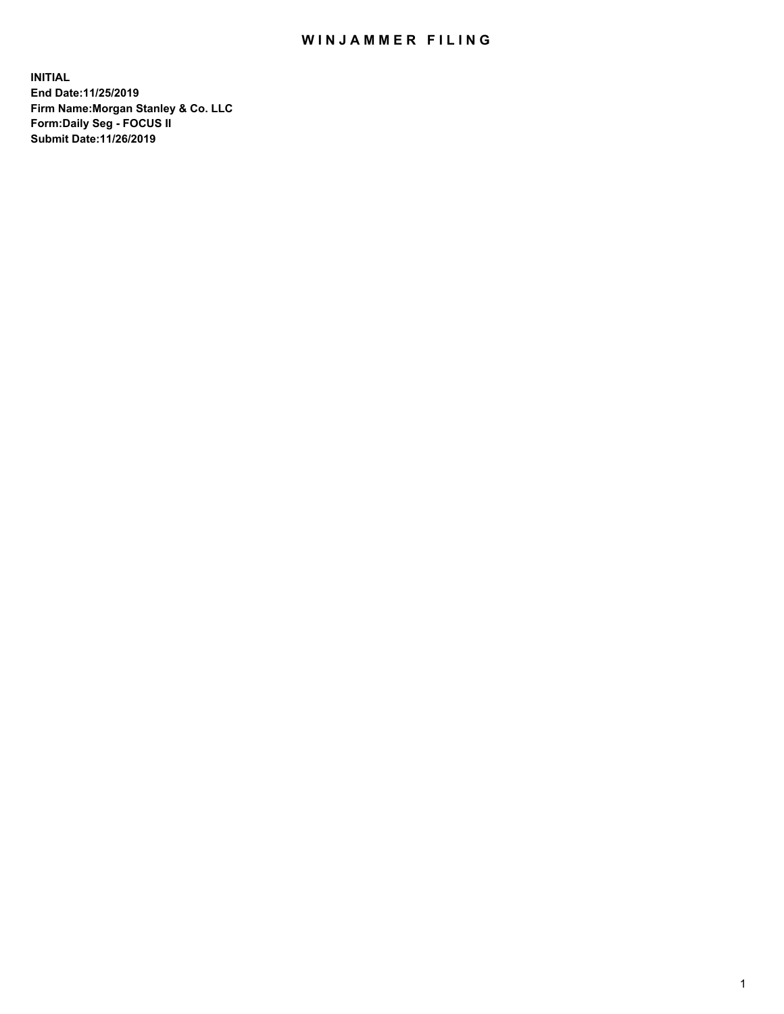## WIN JAMMER FILING

**INITIAL End Date:11/25/2019 Firm Name:Morgan Stanley & Co. LLC Form:Daily Seg - FOCUS II Submit Date:11/26/2019**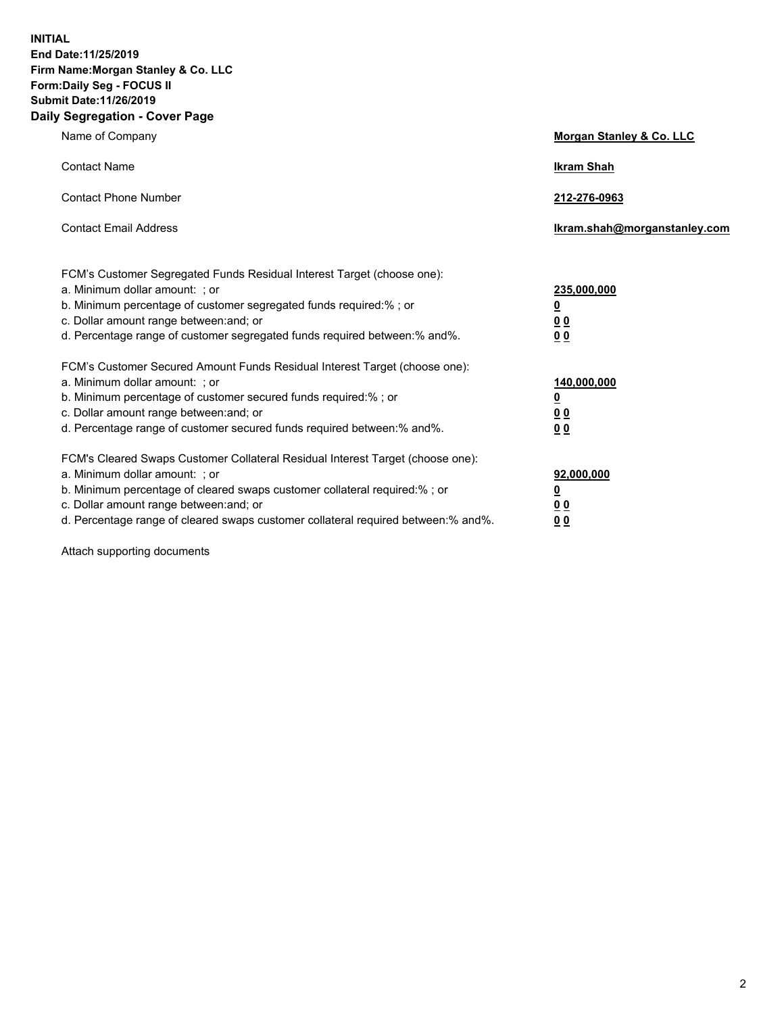**INITIAL End Date:11/25/2019 Firm Name:Morgan Stanley & Co. LLC Form:Daily Seg - FOCUS II Submit Date:11/26/2019 Daily Segregation - Cover Page**

| Name of Company                                                                                                                                                                                                                                                                                                                | Morgan Stanley & Co. LLC                               |
|--------------------------------------------------------------------------------------------------------------------------------------------------------------------------------------------------------------------------------------------------------------------------------------------------------------------------------|--------------------------------------------------------|
| <b>Contact Name</b>                                                                                                                                                                                                                                                                                                            | <b>Ikram Shah</b>                                      |
| <b>Contact Phone Number</b>                                                                                                                                                                                                                                                                                                    | 212-276-0963                                           |
| <b>Contact Email Address</b>                                                                                                                                                                                                                                                                                                   | Ikram.shah@morganstanley.com                           |
| FCM's Customer Segregated Funds Residual Interest Target (choose one):<br>a. Minimum dollar amount: : or<br>b. Minimum percentage of customer segregated funds required:% ; or<br>c. Dollar amount range between: and; or<br>d. Percentage range of customer segregated funds required between:% and%.                         | 235,000,000<br><u>0</u><br>0 <sub>0</sub><br><u>00</u> |
| FCM's Customer Secured Amount Funds Residual Interest Target (choose one):<br>a. Minimum dollar amount: ; or<br>b. Minimum percentage of customer secured funds required:% ; or<br>c. Dollar amount range between: and; or<br>d. Percentage range of customer secured funds required between:% and%.                           | 140,000,000<br><u>0</u><br><u>00</u><br>0 <sub>0</sub> |
| FCM's Cleared Swaps Customer Collateral Residual Interest Target (choose one):<br>a. Minimum dollar amount: ; or<br>b. Minimum percentage of cleared swaps customer collateral required:% ; or<br>c. Dollar amount range between: and; or<br>d. Percentage range of cleared swaps customer collateral required between:% and%. | 92,000,000<br><u>0</u><br><u>00</u><br>0 <sub>0</sub>  |

Attach supporting documents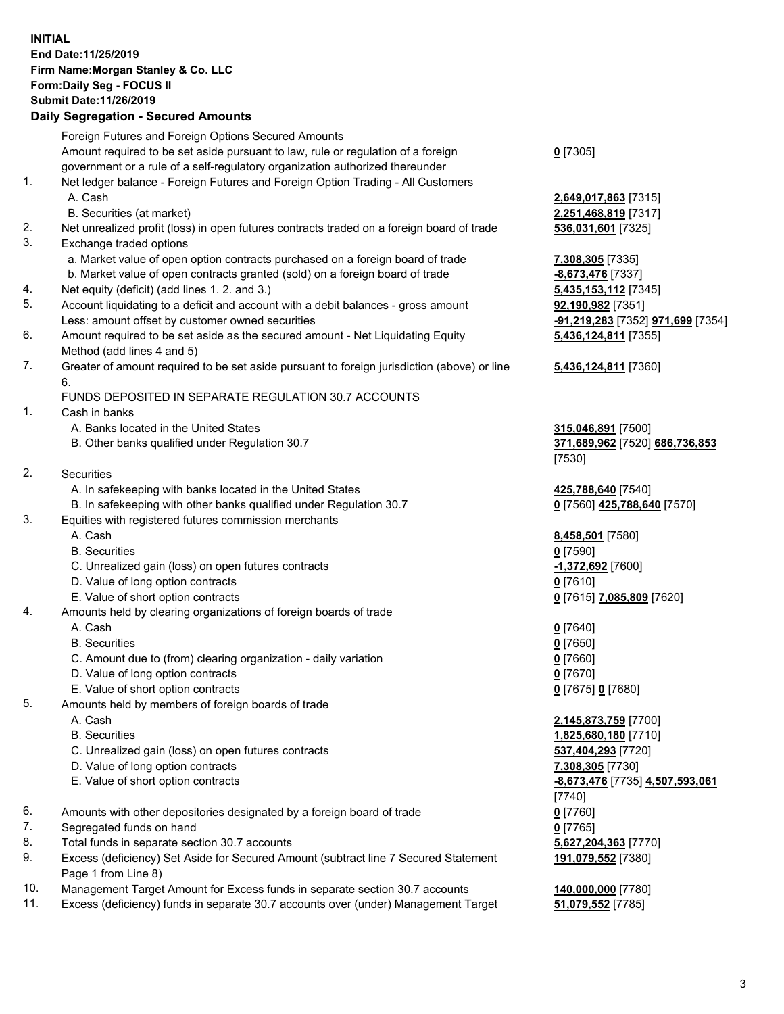## **INITIAL End Date:11/25/2019 Firm Name:Morgan Stanley & Co. LLC Form:Daily Seg - FOCUS II Submit Date:11/26/2019**

## **Daily Segregation - Secured Amounts**

|     | Foreign Futures and Foreign Options Secured Amounts                                         |                                   |
|-----|---------------------------------------------------------------------------------------------|-----------------------------------|
|     | Amount required to be set aside pursuant to law, rule or regulation of a foreign            | $0$ [7305]                        |
|     | government or a rule of a self-regulatory organization authorized thereunder                |                                   |
| 1.  | Net ledger balance - Foreign Futures and Foreign Option Trading - All Customers             |                                   |
|     | A. Cash                                                                                     | 2,649,017,863 [7315]              |
|     | B. Securities (at market)                                                                   | 2,251,468,819 [7317]              |
| 2.  | Net unrealized profit (loss) in open futures contracts traded on a foreign board of trade   | 536,031,601 [7325]                |
| 3.  | Exchange traded options                                                                     |                                   |
|     | a. Market value of open option contracts purchased on a foreign board of trade              | 7,308,305 [7335]                  |
|     | b. Market value of open contracts granted (sold) on a foreign board of trade                | -8,673,476 [7337]                 |
| 4.  | Net equity (deficit) (add lines 1.2. and 3.)                                                | 5,435,153,112 [7345]              |
| 5.  | Account liquidating to a deficit and account with a debit balances - gross amount           | 92,190,982 [7351]                 |
|     | Less: amount offset by customer owned securities                                            | -91,219,283 [7352] 971,699 [7354] |
| 6.  | Amount required to be set aside as the secured amount - Net Liquidating Equity              | 5,436,124,811 [7355]              |
|     | Method (add lines 4 and 5)                                                                  |                                   |
| 7.  | Greater of amount required to be set aside pursuant to foreign jurisdiction (above) or line | 5,436,124,811 [7360]              |
|     | 6.<br>FUNDS DEPOSITED IN SEPARATE REGULATION 30.7 ACCOUNTS                                  |                                   |
| 1.  | Cash in banks                                                                               |                                   |
|     | A. Banks located in the United States                                                       | 315,046,891 [7500]                |
|     | B. Other banks qualified under Regulation 30.7                                              | 371,689,962 [7520] 686,736,853    |
|     |                                                                                             | [7530]                            |
| 2.  | Securities                                                                                  |                                   |
|     | A. In safekeeping with banks located in the United States                                   | 425,788,640 [7540]                |
|     | B. In safekeeping with other banks qualified under Regulation 30.7                          | 0 [7560] 425,788,640 [7570]       |
| 3.  | Equities with registered futures commission merchants                                       |                                   |
|     | A. Cash                                                                                     | 8,458,501 [7580]                  |
|     | <b>B.</b> Securities                                                                        | $0$ [7590]                        |
|     | C. Unrealized gain (loss) on open futures contracts                                         | -1,372,692 [7600]                 |
|     | D. Value of long option contracts                                                           | $0$ [7610]                        |
|     | E. Value of short option contracts                                                          | 0 [7615] 7,085,809 [7620]         |
| 4.  | Amounts held by clearing organizations of foreign boards of trade                           |                                   |
|     | A. Cash                                                                                     | $0$ [7640]                        |
|     | <b>B.</b> Securities                                                                        | $0$ [7650]                        |
|     | C. Amount due to (from) clearing organization - daily variation                             | $0$ [7660]                        |
|     | D. Value of long option contracts                                                           | $0$ [7670]                        |
|     | E. Value of short option contracts                                                          | 0 [7675] 0 [7680]                 |
| 5.  | Amounts held by members of foreign boards of trade                                          |                                   |
|     | A. Cash                                                                                     | 2,145,873,759 [7700]              |
|     | <b>B.</b> Securities                                                                        | 1,825,680,180 [7710]              |
|     | C. Unrealized gain (loss) on open futures contracts                                         | 537,404,293 [7720]                |
|     | D. Value of long option contracts                                                           | 7,308,305 [7730]                  |
|     | E. Value of short option contracts                                                          | -8,673,476 [7735] 4,507,593,061   |
|     |                                                                                             | [7740]                            |
| 6.  | Amounts with other depositories designated by a foreign board of trade                      | $0$ [7760]                        |
| 7.  | Segregated funds on hand                                                                    | $0$ [7765]                        |
| 8.  | Total funds in separate section 30.7 accounts                                               | 5,627,204,363 [7770]              |
| 9.  | Excess (deficiency) Set Aside for Secured Amount (subtract line 7 Secured Statement         | 191,079,552 [7380]                |
|     | Page 1 from Line 8)                                                                         |                                   |
| 10. | Management Target Amount for Excess funds in separate section 30.7 accounts                 | 140,000,000 [7780]                |

11. Excess (deficiency) funds in separate 30.7 accounts over (under) Management Target **51,079,552** [7785]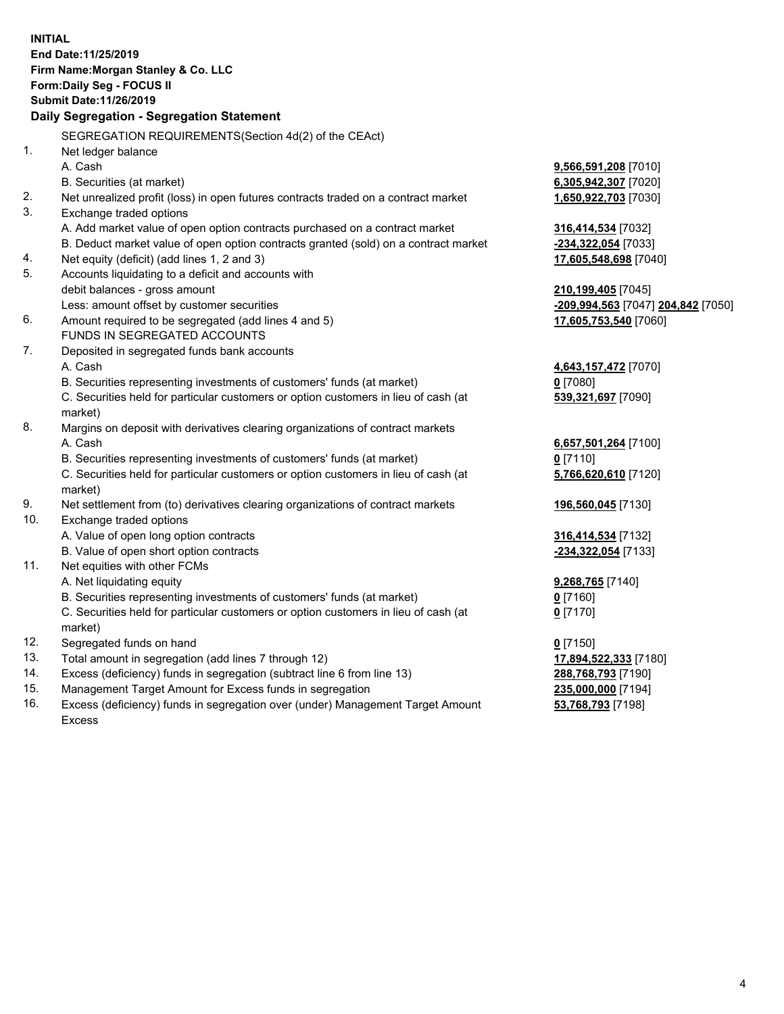|     | <b>INITIAL</b><br>End Date: 11/25/2019<br>Firm Name: Morgan Stanley & Co. LLC<br>Form: Daily Seg - FOCUS II<br>Submit Date: 11/26/2019<br>Daily Segregation - Segregation Statement |                                    |
|-----|-------------------------------------------------------------------------------------------------------------------------------------------------------------------------------------|------------------------------------|
|     | SEGREGATION REQUIREMENTS(Section 4d(2) of the CEAct)                                                                                                                                |                                    |
| 1.  | Net ledger balance                                                                                                                                                                  |                                    |
|     | A. Cash                                                                                                                                                                             | 9,566,591,208 [7010]               |
|     | B. Securities (at market)                                                                                                                                                           | 6,305,942,307 [7020]               |
| 2.  | Net unrealized profit (loss) in open futures contracts traded on a contract market                                                                                                  | 1,650,922,703 [7030]               |
| 3.  | Exchange traded options                                                                                                                                                             |                                    |
|     | A. Add market value of open option contracts purchased on a contract market                                                                                                         | 316,414,534 [7032]                 |
|     | B. Deduct market value of open option contracts granted (sold) on a contract market                                                                                                 | -234,322,054 [7033]                |
| 4.  | Net equity (deficit) (add lines 1, 2 and 3)                                                                                                                                         | 17,605,548,698 [7040]              |
| 5.  | Accounts liquidating to a deficit and accounts with                                                                                                                                 |                                    |
|     | debit balances - gross amount                                                                                                                                                       | 210,199,405 [7045]                 |
|     | Less: amount offset by customer securities                                                                                                                                          | -209,994,563 [7047] 204,842 [7050] |
| 6.  | Amount required to be segregated (add lines 4 and 5)                                                                                                                                | 17,605,753,540 [7060]              |
|     | FUNDS IN SEGREGATED ACCOUNTS                                                                                                                                                        |                                    |
| 7.  | Deposited in segregated funds bank accounts                                                                                                                                         |                                    |
|     | A. Cash                                                                                                                                                                             | 4,643,157,472 [7070]               |
|     | B. Securities representing investments of customers' funds (at market)                                                                                                              | $0$ [7080]                         |
|     | C. Securities held for particular customers or option customers in lieu of cash (at                                                                                                 | 539,321,697 [7090]                 |
|     | market)                                                                                                                                                                             |                                    |
| 8.  | Margins on deposit with derivatives clearing organizations of contract markets                                                                                                      |                                    |
|     | A. Cash                                                                                                                                                                             | 6,657,501,264 [7100]               |
|     | B. Securities representing investments of customers' funds (at market)                                                                                                              | $0$ [7110]                         |
|     | C. Securities held for particular customers or option customers in lieu of cash (at<br>market)                                                                                      | 5,766,620,610 [7120]               |
| 9.  | Net settlement from (to) derivatives clearing organizations of contract markets                                                                                                     | 196,560,045 [7130]                 |
| 10. | Exchange traded options                                                                                                                                                             |                                    |
|     | A. Value of open long option contracts                                                                                                                                              | 316,414,534 [7132]                 |
|     | B. Value of open short option contracts                                                                                                                                             | -234,322,054 [7133]                |
| 11. | Net equities with other FCMs                                                                                                                                                        |                                    |
|     | A. Net liquidating equity                                                                                                                                                           | 9,268,765 [7140]                   |
|     | B. Securities representing investments of customers' funds (at market)                                                                                                              | 0 [7160]                           |
|     | C. Securities held for particular customers or option customers in lieu of cash (at<br>market)                                                                                      | $0$ [7170]                         |
| 12. | Segregated funds on hand                                                                                                                                                            | $0$ [7150]                         |
| 13. | Total amount in segregation (add lines 7 through 12)                                                                                                                                | 17,894,522,333 [7180]              |
| 14. | Excess (deficiency) funds in segregation (subtract line 6 from line 13)                                                                                                             | 288,768,793 [7190]                 |
| 15. | Management Target Amount for Excess funds in segregation                                                                                                                            | 235,000,000 [7194]                 |
| 16. | Excess (deficiency) funds in segregation over (under) Management Target Amount                                                                                                      | 53,768,793 [7198]                  |

Excess